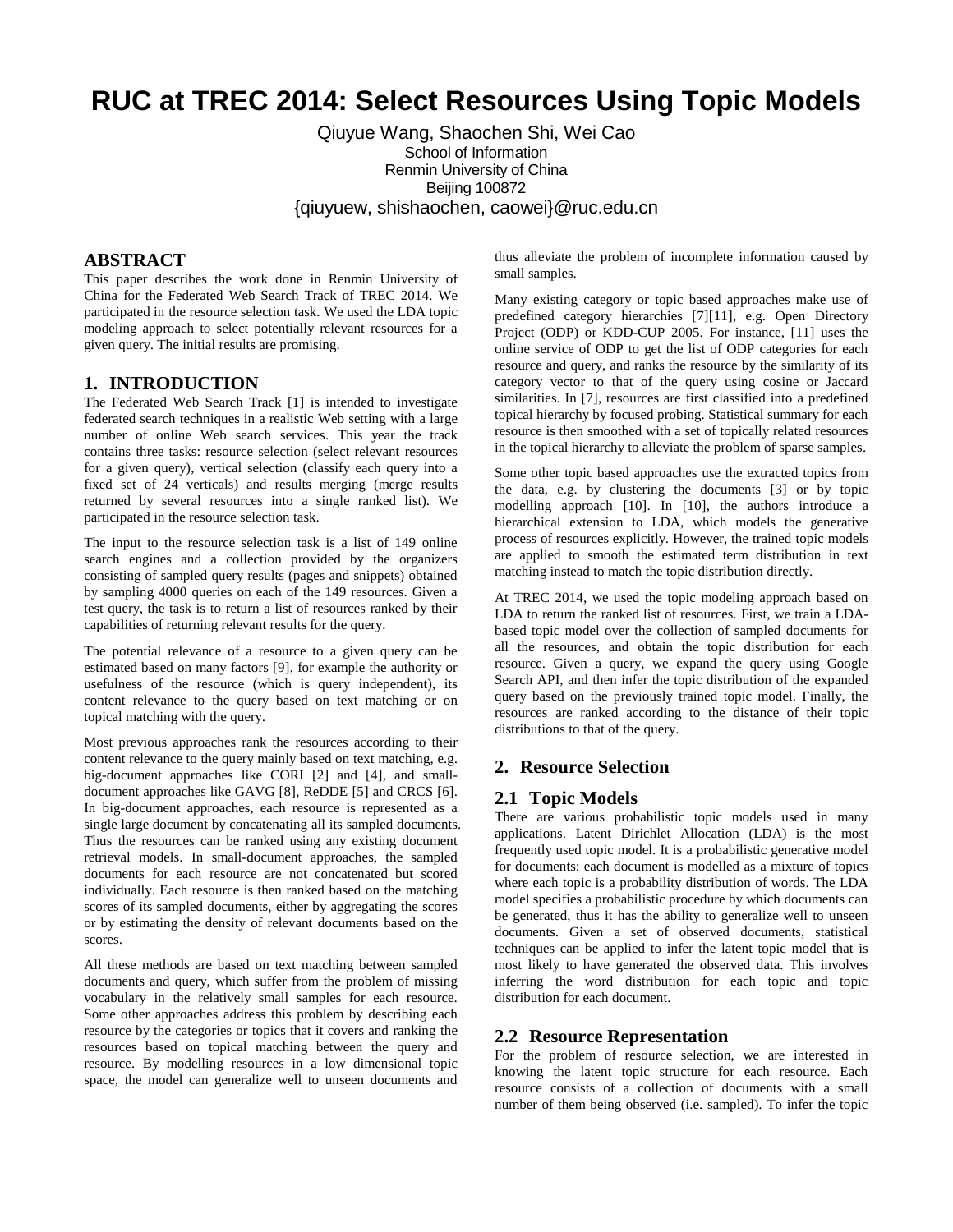# **RUC at TREC 2014: Select Resources Using Topic Models**

# Qiuyue Wang, Shaochen Shi, Wei Cao School of Information Renmin University of China Beijing 100872 {qiuyuew, shishaochen, caowei}@ruc.edu.cn

## **ABSTRACT**

This paper describes the work done in Renmin University of China for the Federated Web Search Track of TREC 2014. We participated in the resource selection task. We used the LDA topic modeling approach to select potentially relevant resources for a given query. The initial results are promising.

# **1. INTRODUCTION**

The Federated Web Search Track [1] is intended to investigate federated search techniques in a realistic Web setting with a large number of online Web search services. This year the track contains three tasks: resource selection (select relevant resources for a given query), vertical selection (classify each query into a fixed set of 24 verticals) and results merging (merge results returned by several resources into a single ranked list). We participated in the resource selection task.

The input to the resource selection task is a list of 149 online search engines and a collection provided by the organizers consisting of sampled query results (pages and snippets) obtained by sampling 4000 queries on each of the 149 resources. Given a test query, the task is to return a list of resources ranked by their capabilities of returning relevant results for the query.

The potential relevance of a resource to a given query can be estimated based on many factors [9], for example the authority or usefulness of the resource (which is query independent), its content relevance to the query based on text matching or on topical matching with the query.

Most previous approaches rank the resources according to their content relevance to the query mainly based on text matching, e.g. big-document approaches like CORI [2] and [4], and smalldocument approaches like GAVG [8], ReDDE [5] and CRCS [6]. In big-document approaches, each resource is represented as a single large document by concatenating all its sampled documents. Thus the resources can be ranked using any existing document retrieval models. In small-document approaches, the sampled documents for each resource are not concatenated but scored individually. Each resource is then ranked based on the matching scores of its sampled documents, either by aggregating the scores or by estimating the density of relevant documents based on the scores.

All these methods are based on text matching between sampled documents and query, which suffer from the problem of missing vocabulary in the relatively small samples for each resource. Some other approaches address this problem by describing each resource by the categories or topics that it covers and ranking the resources based on topical matching between the query and resource. By modelling resources in a low dimensional topic space, the model can generalize well to unseen documents and thus alleviate the problem of incomplete information caused by small samples.

Many existing category or topic based approaches make use of predefined category hierarchies [7][11], e.g. Open Directory Project (ODP) or KDD-CUP 2005. For instance, [11] uses the online service of ODP to get the list of ODP categories for each resource and query, and ranks the resource by the similarity of its category vector to that of the query using cosine or Jaccard similarities. In [7], resources are first classified into a predefined topical hierarchy by focused probing. Statistical summary for each resource is then smoothed with a set of topically related resources in the topical hierarchy to alleviate the problem of sparse samples.

Some other topic based approaches use the extracted topics from the data, e.g. by clustering the documents [3] or by topic modelling approach [10]. In [10], the authors introduce a hierarchical extension to LDA, which models the generative process of resources explicitly. However, the trained topic models are applied to smooth the estimated term distribution in text matching instead to match the topic distribution directly.

At TREC 2014, we used the topic modeling approach based on LDA to return the ranked list of resources. First, we train a LDAbased topic model over the collection of sampled documents for all the resources, and obtain the topic distribution for each resource. Given a query, we expand the query using Google Search API, and then infer the topic distribution of the expanded query based on the previously trained topic model. Finally, the resources are ranked according to the distance of their topic distributions to that of the query.

## **2. Resource Selection**

#### **2.1 Topic Models**

There are various probabilistic topic models used in many applications. Latent Dirichlet Allocation (LDA) is the most frequently used topic model. It is a probabilistic generative model for documents: each document is modelled as a mixture of topics where each topic is a probability distribution of words. The LDA model specifies a probabilistic procedure by which documents can be generated, thus it has the ability to generalize well to unseen documents. Given a set of observed documents, statistical techniques can be applied to infer the latent topic model that is most likely to have generated the observed data. This involves inferring the word distribution for each topic and topic distribution for each document.

#### **2.2 Resource Representation**

For the problem of resource selection, we are interested in knowing the latent topic structure for each resource. Each resource consists of a collection of documents with a small number of them being observed (i.e. sampled). To infer the topic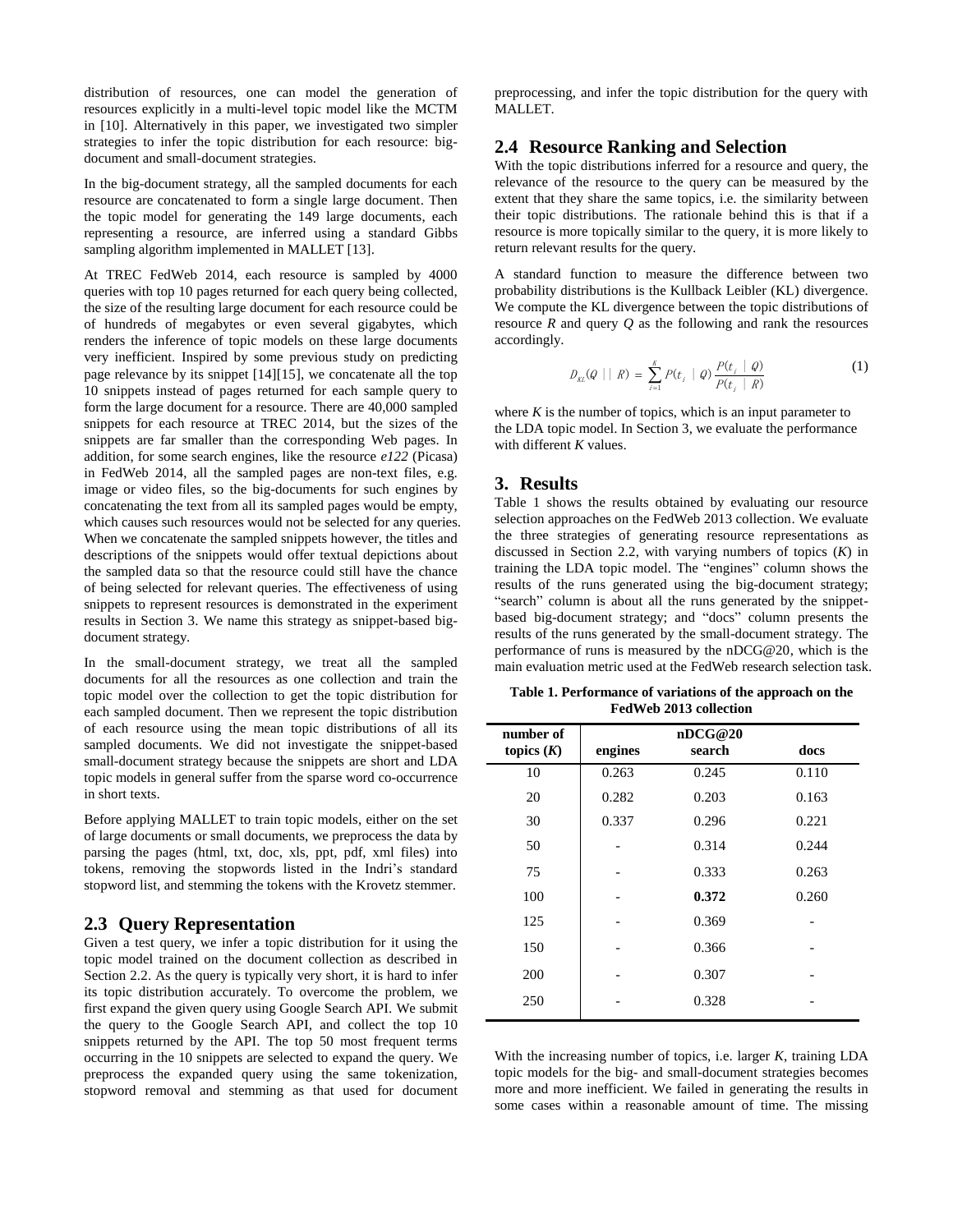distribution of resources, one can model the generation of resources explicitly in a multi-level topic model like the MCTM in [10]. Alternatively in this paper, we investigated two simpler strategies to infer the topic distribution for each resource: bigdocument and small-document strategies.

In the big-document strategy, all the sampled documents for each resource are concatenated to form a single large document. Then the topic model for generating the 149 large documents, each representing a resource, are inferred using a standard Gibbs sampling algorithm implemented in MALLET [13].

At TREC FedWeb 2014, each resource is sampled by 4000 queries with top 10 pages returned for each query being collected, the size of the resulting large document for each resource could be of hundreds of megabytes or even several gigabytes, which renders the inference of topic models on these large documents very inefficient. Inspired by some previous study on predicting page relevance by its snippet [14][15], we concatenate all the top 10 snippets instead of pages returned for each sample query to form the large document for a resource. There are 40,000 sampled snippets for each resource at TREC 2014, but the sizes of the snippets are far smaller than the corresponding Web pages. In addition, for some search engines, like the resource *e122* (Picasa) in FedWeb 2014, all the sampled pages are non-text files, e.g. image or video files, so the big-documents for such engines by concatenating the text from all its sampled pages would be empty, which causes such resources would not be selected for any queries. When we concatenate the sampled snippets however, the titles and descriptions of the snippets would offer textual depictions about the sampled data so that the resource could still have the chance of being selected for relevant queries. The effectiveness of using snippets to represent resources is demonstrated in the experiment results in Section 3. We name this strategy as snippet-based bigdocument strategy.

In the small-document strategy, we treat all the sampled documents for all the resources as one collection and train the topic model over the collection to get the topic distribution for each sampled document. Then we represent the topic distribution of each resource using the mean topic distributions of all its sampled documents. We did not investigate the snippet-based small-document strategy because the snippets are short and LDA topic models in general suffer from the sparse word co-occurrence in short texts.

Before applying MALLET to train topic models, either on the set of large documents or small documents, we preprocess the data by parsing the pages (html, txt, doc, xls, ppt, pdf, xml files) into tokens, removing the stopwords listed in the Indri's standard stopword list, and stemming the tokens with the Krovetz stemmer.

#### **2.3 Query Representation**

Given a test query, we infer a topic distribution for it using the topic model trained on the document collection as described in Section 2.2. As the query is typically very short, it is hard to infer its topic distribution accurately. To overcome the problem, we first expand the given query using Google Search API. We submit the query to the Google Search API, and collect the top 10 snippets returned by the API. The top 50 most frequent terms occurring in the 10 snippets are selected to expand the query. We preprocess the expanded query using the same tokenization, stopword removal and stemming as that used for document preprocessing, and infer the topic distribution for the query with MALLET.

#### **2.4 Resource Ranking and Selection**

With the topic distributions inferred for a resource and query, the relevance of the resource to the query can be measured by the extent that they share the same topics, i.e. the similarity between their topic distributions. The rationale behind this is that if a resource is more topically similar to the query, it is more likely to return relevant results for the query.

A standard function to measure the difference between two probability distributions is the Kullback Leibler (KL) divergence. We compute the KL divergence between the topic distributions of resource *R* and query *Q* as the following and rank the resources accordingly.

$$
D_{KL}(Q \mid \mid R) = \sum_{i=1}^{K} P(t_i \mid Q) \frac{P(t_i \mid Q)}{P(t_i \mid R)}
$$
(1)

where  $K$  is the number of topics, which is an input parameter to the LDA topic model. In Section 3, we evaluate the performance with different *K* values.

## **3. Results**

Table 1 shows the results obtained by evaluating our resource selection approaches on the FedWeb 2013 collection. We evaluate the three strategies of generating resource representations as discussed in Section 2.2, with varying numbers of topics (*K*) in training the LDA topic model. The "engines" column shows the results of the runs generated using the big-document strategy; "search" column is about all the runs generated by the snippetbased big-document strategy; and "docs" column presents the results of the runs generated by the small-document strategy. The performance of runs is measured by the nDCG@20, which is the main evaluation metric used at the FedWeb research selection task.

**Table 1. Performance of variations of the approach on the FedWeb 2013 collection**

| number of<br>topics $(K)$ | engines | nDCG@20<br>search | docs  |
|---------------------------|---------|-------------------|-------|
| 10                        | 0.263   | 0.245             | 0.110 |
| 20                        | 0.282   | 0.203             | 0.163 |
| 30                        | 0.337   | 0.296             | 0.221 |
| 50                        |         | 0.314             | 0.244 |
| 75                        |         | 0.333             | 0.263 |
| 100                       |         | 0.372             | 0.260 |
| 125                       |         | 0.369             |       |
| 150                       |         | 0.366             |       |
| 200                       |         | 0.307             |       |
| 250                       |         | 0.328             |       |

With the increasing number of topics, i.e. larger *K*, training LDA topic models for the big- and small-document strategies becomes more and more inefficient. We failed in generating the results in some cases within a reasonable amount of time. The missing